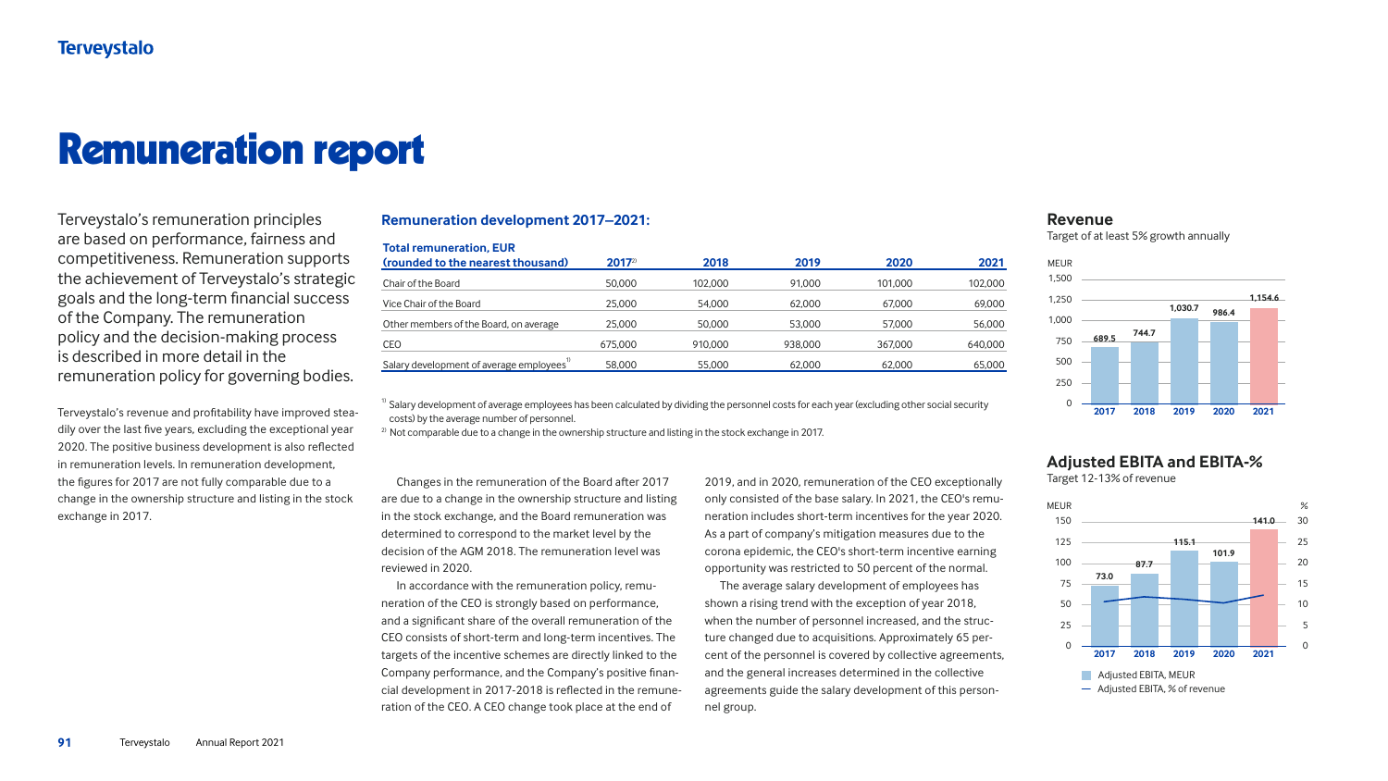# Remuneration report

Terveystalo's remuneration principles are based on performance, fairness and competitiveness. Remuneration supports the achievement of Terveystalo's strategic goals and the long-term financial success of the Company. The remuneration policy and the decision-making process is described in more detail in the remuneration policy for governing bodies.

Terveystalo's revenue and profitability have improved steadily over the last five years, excluding the exceptional year 2020. The positive business development is also reflected in remuneration levels. In remuneration development, the figures for 2017 are not fully comparable due to a change in the ownership structure and listing in the stock exchange in 2017.

 $1)$  Salary development of average employees has been calculated by dividing the personnel costs for each year (excluding other social security costs) by the average number of personnel.

 $2)$  Not comparable due to a change in the ownership structure and listing in the stock exchange in 2017.

#### **Remuneration development 2017–2021:**

| <b>Total remuneration, EUR</b>                        |          |         |         |         |         |
|-------------------------------------------------------|----------|---------|---------|---------|---------|
| (rounded to the nearest thousand)                     | $2017^2$ | 2018    | 2019    | 2020    | 2021    |
| <b>Chair of the Board</b>                             | 50,000   | 102,000 | 91,000  | 101,000 | 102,000 |
| Vice Chair of the Board                               | 25,000   | 54,000  | 62,000  | 67,000  | 69,000  |
| Other members of the Board, on average                | 25,000   | 50,000  | 53,000  | 57,000  | 56,000  |
| <b>CEO</b>                                            | 675,000  | 910,000 | 938,000 | 367,000 | 640,000 |
| Salary development of average employees <sup>17</sup> | 58,000   | 55,000  | 62,000  | 62,000  | 65,000  |

Changes in the remuneration of the Board after 2017 are due to a change in the ownership structure and listing in the stock exchange, and the Board remuneration was determined to correspond to the market level by the decision of the AGM 2018. The remuneration level was reviewed in 2020. In accordance with the remuneration policy, remuneration of the CEO is strongly based on performance, and a significant share of the overall remuneration of the CEO consists of short-term and long-term incentives. The targets of the incentive schemes are directly linked to the Company performance, and the Company's positive financial development in 2017-2018 is reflected in the remuneration of the CEO. A CEO change took place at the end of 2019, and in 2020, remuneration of the CEO exceptionally only consisted of the base salary. In 2021, the CEO's remuneration includes short-term incentives for the year 2020. As a part of company's mitigation measures due to the corona epidemic, the CEO's short-term incentive earning opportunity was restricted to 50 percent of the normal. The average salary development of employees has shown a rising trend with the exception of year 2018, when the number of personnel increased, and the structure changed due to acquisitions. Approximately 65 percent of the personnel is covered by collective agreements, and the general increases determined in the collective agreements guide the salary development of this personnel group.

### **Revenue**

Target of at least 5% growth annually



# % 25 10 5 0

## **Adjusted EBITA and EBITA-%**

Target 12-13% of revenue

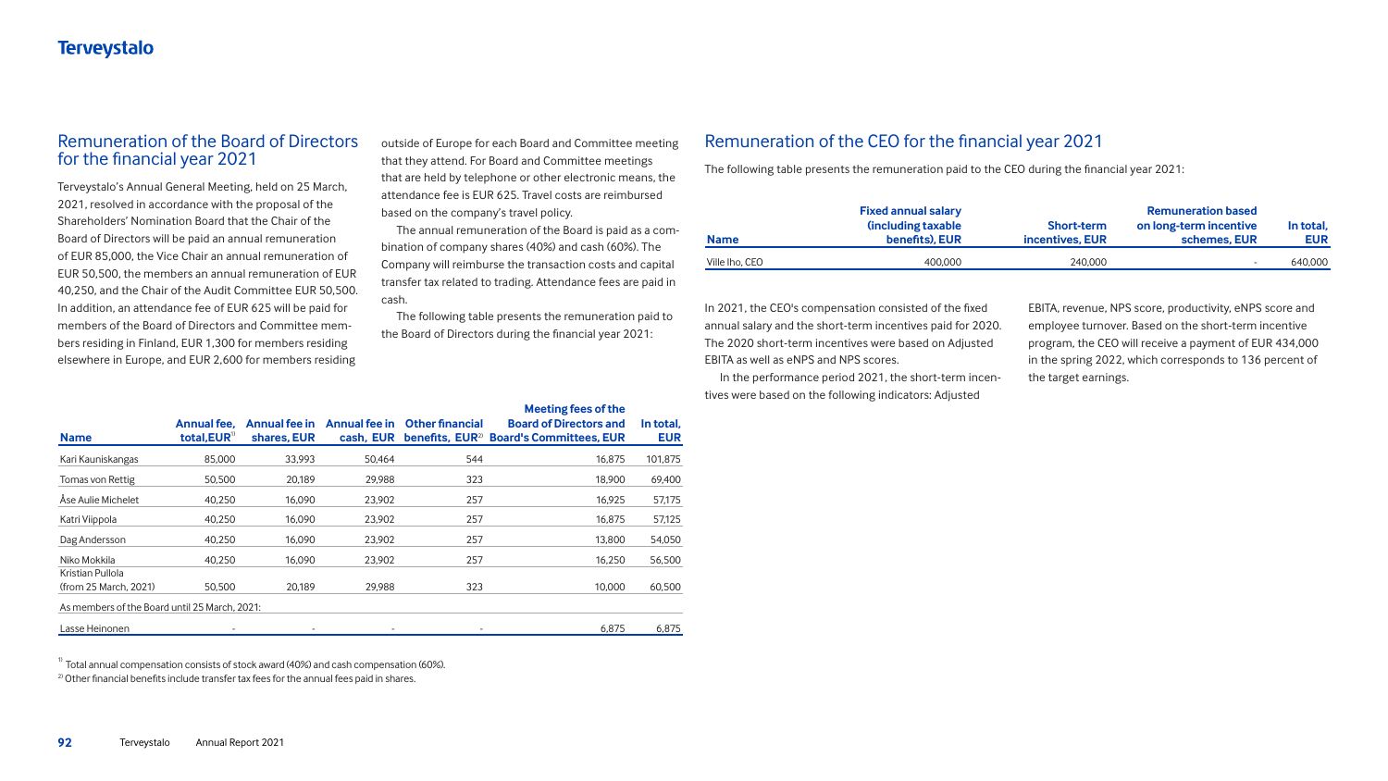# **Terveystalo**

#### Remuneration of the Board of Directors for the financial year 2021

Terveystalo's Annual General Meeting, held on 25 March, 2021, resolved in accordance with the proposal of the Shareholders' Nomination Board that the Chair of the Board of Directors will be paid an annual remuneration of EUR 85,000, the Vice Chair an annual remuneration of EUR 50,500, the members an annual remuneration of EUR 40,250, and the Chair of the Audit Committee EUR 50,500. In addition, an attendance fee of EUR 625 will be paid for members of the Board of Directors and Committee members residing in Finland, EUR 1,300 for members residing elsewhere in Europe, and EUR 2,600 for members residing

# Remuneration of the CEO for the financial year 2021

The following table presents the remuneration paid to the CEO during the financial year 2021:

| m-        | <b>Name</b>    | <b>Fixed annual salary</b><br><b>(including taxable)</b><br>benefits), EUR | <b>Short-term</b><br>incentives, EUR | <b>Remuneration based</b><br>on long-term incentive<br>schemes, EUR | In total,<br><b>EUR</b> |
|-----------|----------------|----------------------------------------------------------------------------|--------------------------------------|---------------------------------------------------------------------|-------------------------|
| :al<br>in | Ville lho, CEO | 400,000                                                                    | 240,000                              |                                                                     | 640,000                 |



The annual remuneration of the Board is paid as a combination of company shares (40%) and cash (60%). The Company will reimburse the transaction costs and capital transfer tax related to trading. Attendance fees are paid cash.

In 2021, the CEO's compensation consisted of the fixed annual salary and the short-term incentives paid for 2020. The 2020 short-term incentives were based on Adjusted EBITA as well as eNPS and NPS scores.

In the performance period 2021, the short-term incentives were based on the following indicators: Adjusted

EBITA, revenue, NPS score, productivity, eNPS score and employee turnover. Based on the short-term incentive program, the CEO will receive a payment of EUR 434,000 in the spring 2022, which corresponds to 136 percent of the target earnings.

outside of Europe for each Board and Committee meeting that they attend. For Board and Committee meetings that are held by telephone or other electronic means, the attendance fee is EUR 625. Travel costs are reimbursed based on the company's travel policy.

The following table presents the remuneration paid to the Board of Directors during the financial year 2021:

#### **In total, EUR**

| <b>Name</b>                                   | <b>Annual fee.</b><br>total, $EUR^{\text{T}}$ | <b>Annual fee in</b><br>shares, EUR | Annual fee in<br>cash, EUR | <b>Other financial</b> | <b>Meeting fees of the</b><br><b>Board of Directors and</b><br>benefits, EUR <sup>2)</sup> Board's Committees, EUR | In total,<br><b>EUR</b> |
|-----------------------------------------------|-----------------------------------------------|-------------------------------------|----------------------------|------------------------|--------------------------------------------------------------------------------------------------------------------|-------------------------|
| Kari Kauniskangas                             | 85,000                                        | 33,993                              | 50,464                     | 544                    | 16,875                                                                                                             | 101,875                 |
| Tomas von Rettig                              | 50,500                                        | 20,189                              | 29,988                     | 323                    | 18,900                                                                                                             | 69,400                  |
| Åse Aulie Michelet                            | 40,250                                        | 16,090                              | 23,902                     | 257                    | 16,925                                                                                                             | 57,175                  |
| Katri Viippola                                | 40,250                                        | 16,090                              | 23,902                     | 257                    | 16,875                                                                                                             | 57,125                  |
| Dag Andersson                                 | 40,250                                        | 16,090                              | 23,902                     | 257                    | 13,800                                                                                                             | 54,050                  |
| Niko Mokkila                                  | 40,250                                        | 16,090                              | 23,902                     | 257                    | 16,250                                                                                                             | 56,500                  |
| <b>Kristian Pullola</b>                       |                                               |                                     |                            |                        |                                                                                                                    |                         |
| (from 25 March, 2021)                         | 50,500                                        | 20,189                              | 29,988                     | 323                    | 10,000                                                                                                             | 60,500                  |
| As members of the Board until 25 March, 2021: |                                               |                                     |                            |                        |                                                                                                                    |                         |
| Lasse Heinonen                                |                                               |                                     |                            |                        | 6,875                                                                                                              | 6,875                   |

 $1)$  Total annual compensation consists of stock award (40%) and cash compensation (60%).

 $2)$  Other financial benefits include transfer tax fees for the annual fees paid in shares.